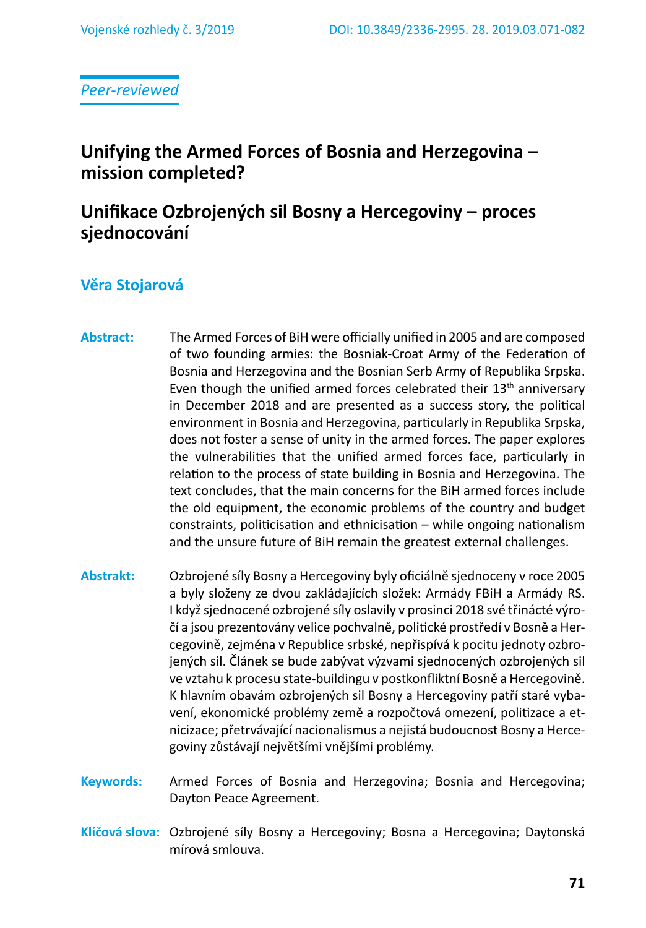*Peer-reviewed*

# **Unifying the Armed Forces of Bosnia and Herzegovina – mission completed?**

# **Unifikace Ozbrojených sil Bosny a Hercegoviny – proces sjednocování**

## **Věra Stojarová**

- **Abstract:** The Armed Forces of BiH were officially unified in 2005 and are composed of two founding armies: the Bosniak-Croat Army of the Federation of Bosnia and Herzegovina and the Bosnian Serb Army of Republika Srpska. Even though the unified armed forces celebrated their  $13<sup>th</sup>$  anniversary in December 2018 and are presented as a success story, the political environment in Bosnia and Herzegovina, particularly in Republika Srpska, does not foster a sense of unity in the armed forces. The paper explores the vulnerabilities that the unified armed forces face, particularly in relation to the process of state building in Bosnia and Herzegovina. The text concludes, that the main concerns for the BiH armed forces include the old equipment, the economic problems of the country and budget constraints, politicisation and ethnicisation – while ongoing nationalism and the unsure future of BiH remain the greatest external challenges.
- **Abstrakt:** Ozbrojené síly Bosny a Hercegoviny byly oficiálně sjednoceny v roce 2005 a byly složeny ze dvou zakládajících složek: Armády FBiH a Armády RS. I když sjednocené ozbrojené síly oslavily v prosinci 2018 své třinácté výročí a jsou prezentovány velice pochvalně, politické prostředí v Bosně a Hercegovině, zejména v Republice srbské, nepřispívá k pocitu jednoty ozbrojených sil. Článek se bude zabývat výzvami sjednocených ozbrojených sil ve vztahu k procesu state-buildingu v postkonfliktní Bosně a Hercegovině. K hlavním obavám ozbrojených sil Bosny a Hercegoviny patří staré vybavení, ekonomické problémy země a rozpočtová omezení, politizace a etnicizace; přetrvávající nacionalismus a nejistá budoucnost Bosny a Hercegoviny zůstávají největšími vnějšími problémy.
- **Keywords:** Armed Forces of Bosnia and Herzegovina; Bosnia and Hercegovina; Dayton Peace Agreement.
- **Klíčová slova:** Ozbrojené síly Bosny a Hercegoviny; Bosna a Hercegovina; Daytonská mírová smlouva.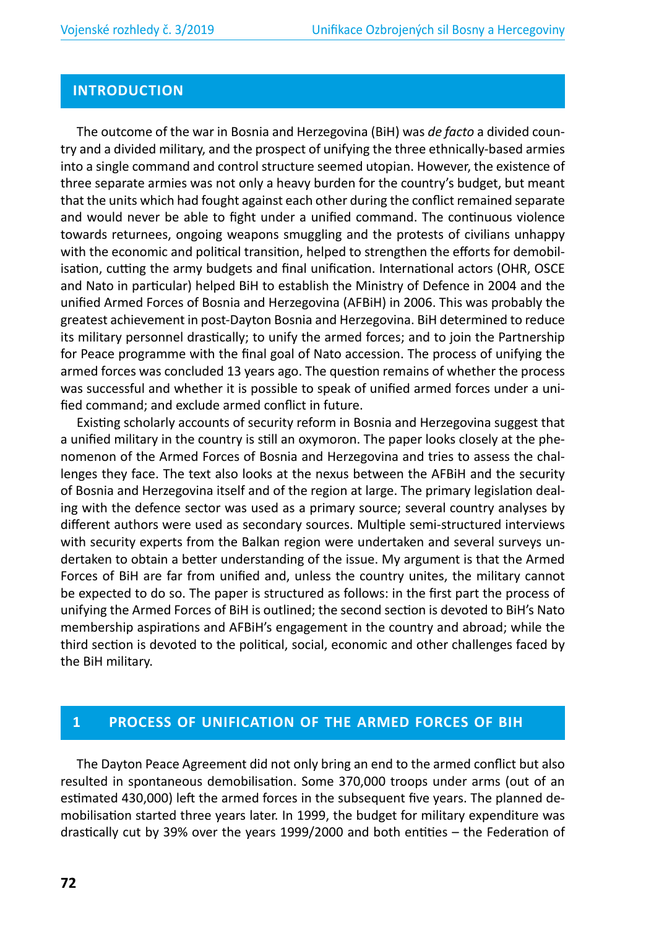### **INTRODUCTION**

The outcome of the war in Bosnia and Herzegovina (BiH) was *de facto* a divided country and a divided military, and the prospect of unifying the three ethnically-based armies into a single command and control structure seemed utopian. However, the existence of three separate armies was not only a heavy burden for the country's budget, but meant that the units which had fought against each other during the conflict remained separate and would never be able to fight under a unified command. The continuous violence towards returnees, ongoing weapons smuggling and the protests of civilians unhappy with the economic and political transition, helped to strengthen the efforts for demobilisation, cutting the army budgets and final unification. International actors (OHR, OSCE and Nato in particular) helped BiH to establish the Ministry of Defence in 2004 and the unified Armed Forces of Bosnia and Herzegovina (AFBiH) in 2006. This was probably the greatest achievement in post-Dayton Bosnia and Herzegovina. BiH determined to reduce its military personnel drastically; to unify the armed forces; and to join the Partnership for Peace programme with the final goal of Nato accession. The process of unifying the armed forces was concluded 13 years ago. The question remains of whether the process was successful and whether it is possible to speak of unified armed forces under a unified command; and exclude armed conflict in future.

Existing scholarly accounts of security reform in Bosnia and Herzegovina suggest that a unified military in the country is still an oxymoron. The paper looks closely at the phenomenon of the Armed Forces of Bosnia and Herzegovina and tries to assess the challenges they face. The text also looks at the nexus between the AFBiH and the security of Bosnia and Herzegovina itself and of the region at large. The primary legislation dealing with the defence sector was used as a primary source; several country analyses by different authors were used as secondary sources. Multiple semi-structured interviews with security experts from the Balkan region were undertaken and several surveys undertaken to obtain a better understanding of the issue. My argument is that the Armed Forces of BiH are far from unified and, unless the country unites, the military cannot be expected to do so. The paper is structured as follows: in the first part the process of unifying the Armed Forces of BiH is outlined; the second section is devoted to BiH's Nato membership aspirations and AFBiH's engagement in the country and abroad; while the third section is devoted to the political, social, economic and other challenges faced by the BiH military.

#### **1 PROCESS OF UNIFICATION OF THE ARMED FORCES OF BIH**

The Dayton Peace Agreement did not only bring an end to the armed conflict but also resulted in spontaneous demobilisation. Some 370,000 troops under arms (out of an estimated 430,000) left the armed forces in the subsequent five years. The planned demobilisation started three years later. In 1999, the budget for military expenditure was drastically cut by 39% over the years 1999/2000 and both entities – the Federation of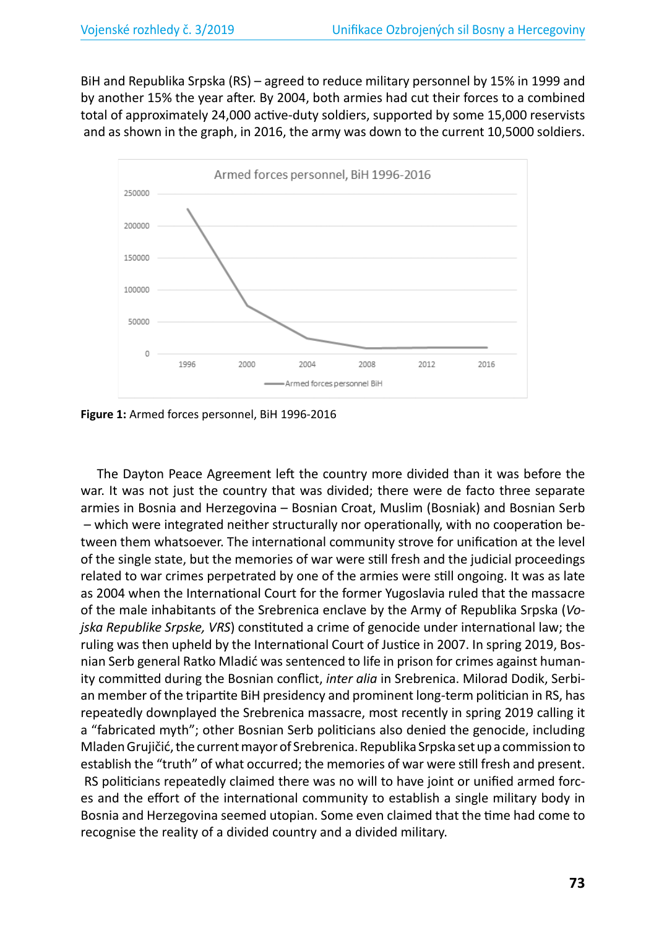BiH and Republika Srpska (RS) – agreed to reduce military personnel by 15% in 1999 and by another 15% the year after. By 2004, both armies had cut their forces to a combined total of approximately 24,000 active-duty soldiers, supported by some 15,000 reservists and as shown in the graph, in 2016, the army was down to the current 10,5000 soldiers.



**Figure 1:** Armed forces personnel, BiH 1996-2016

The Dayton Peace Agreement left the country more divided than it was before the war. It was not just the country that was divided; there were de facto three separate armies in Bosnia and Herzegovina – Bosnian Croat, Muslim (Bosniak) and Bosnian Serb – which were integrated neither structurally nor operationally, with no cooperation between them whatsoever. The international community strove for unification at the level of the single state, but the memories of war were still fresh and the judicial proceedings related to war crimes perpetrated by one of the armies were still ongoing. It was as late as 2004 when the International Court for the former Yugoslavia ruled that the massacre of the male inhabitants of the Srebrenica enclave by the Army of Republika Srpska (*Vojska Republike Srpske, VRS*) constituted a crime of genocide under international law; the ruling was then upheld by the International Court of Justice in 2007. In spring 2019, Bosnian Serb general Ratko Mladić was sentenced to life in prison for crimes against humanity committed during the Bosnian conflict, *inter alia* in Srebrenica. Milorad Dodik, Serbian member of the tripartite BiH presidency and prominent long-term politician in RS, has repeatedly downplayed the Srebrenica massacre, most recently in spring 2019 calling it a "fabricated myth"; other Bosnian Serb politicians also denied the genocide, including Mladen Grujičić, the current mayor of Srebrenica. Republika Srpska set up a commission to establish the "truth" of what occurred; the memories of war were still fresh and present. RS politicians repeatedly claimed there was no will to have joint or unified armed forces and the effort of the international community to establish a single military body in Bosnia and Herzegovina seemed utopian. Some even claimed that the time had come to recognise the reality of a divided country and a divided military.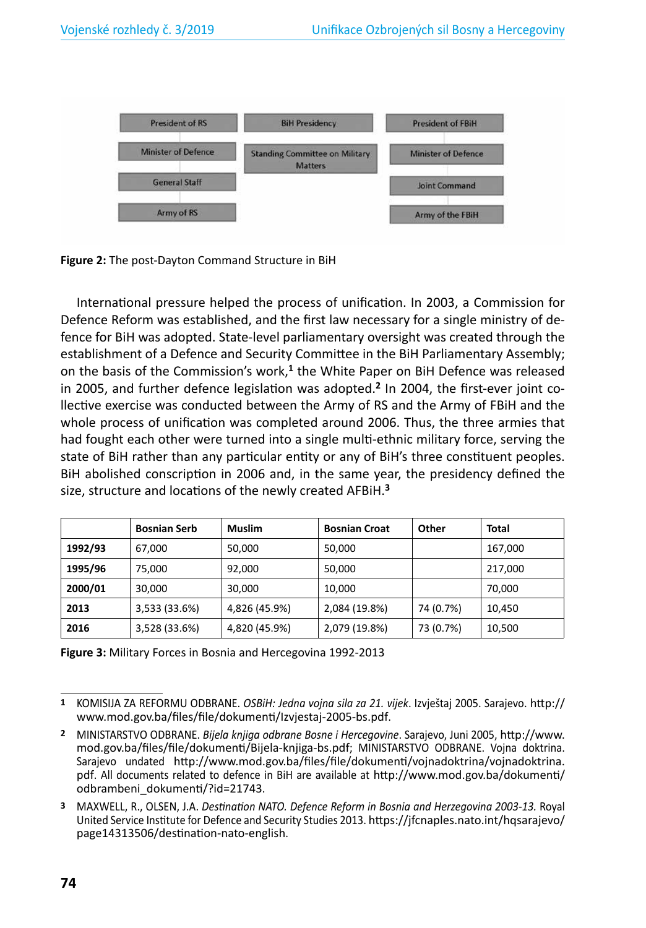

**Figure 2:** The post-Dayton Command Structure in BiH

International pressure helped the process of unification. In 2003, a Commission for Defence Reform was established, and the first law necessary for a single ministry of defence for BiH was adopted. State-level parliamentary oversight was created through the establishment of a Defence and Security Committee in the BiH Parliamentary Assembly; on the basis of the Commission's work,**<sup>1</sup>** the White Paper on BiH Defence was released in 2005, and further defence legislation was adopted.**2** In 2004, the first-ever joint collective exercise was conducted between the Army of RS and the Army of FBiH and the whole process of unification was completed around 2006. Thus, the three armies that had fought each other were turned into a single multi-ethnic military force, serving the state of BiH rather than any particular entity or any of BiH's three constituent peoples. BiH abolished conscription in 2006 and, in the same year, the presidency defined the size, structure and locations of the newly created AFBiH.**<sup>3</sup>**

|         | <b>Bosnian Serb</b> | <b>Muslim</b> | <b>Bosnian Croat</b> | Other     | Total   |
|---------|---------------------|---------------|----------------------|-----------|---------|
| 1992/93 | 67,000              | 50,000        | 50,000               |           | 167,000 |
| 1995/96 | 75,000              | 92,000        | 50,000               |           | 217,000 |
| 2000/01 | 30,000              | 30,000        | 10,000               |           | 70,000  |
| 2013    | 3,533 (33.6%)       | 4,826 (45.9%) | 2,084 (19.8%)        | 74 (0.7%) | 10,450  |
| 2016    | 3,528 (33.6%)       | 4,820 (45.9%) | 2,079 (19.8%)        | 73 (0.7%) | 10,500  |

**Figure 3:** Military Forces in Bosnia and Hercegovina 1992-2013

**<sup>1</sup>** KOMISIJA ZA REFORMU ODBRANE. *OSBiH: Jedna vojna sila za 21. vijek*. Izvještaj 2005. Sarajevo. http:// www.mod.gov.ba/files/file/dokumenti/Izvjestaj-2005-bs.pdf.

**<sup>2</sup>** MINISTARSTVO ODBRANE. *Bijela knjiga odbrane Bosne i Hercegovine*. Sarajevo, Juni 2005, http://www. mod.gov.ba/files/file/dokumenti/Bijela-knjiga-bs.pdf; MINISTARSTVO ODBRANE. Vojna doktrina. Sarajevo undated http://www.mod.gov.ba/files/file/dokumenti/vojnadoktrina/vojnadoktrina. pdf. All documents related to defence in BiH are available at http://www.mod.gov.ba/dokumenti/ odbrambeni\_dokumenti/?id=21743.

**<sup>3</sup>** MAXWELL, R., OLSEN, J.A. *Destination NATO. Defence Reform in Bosnia and Herzegovina 2003-13.* Royal United Service Institute for Defence and Security Studies 2013. https://jfcnaples.nato.int/hqsarajevo/ page14313506/destination-nato-english.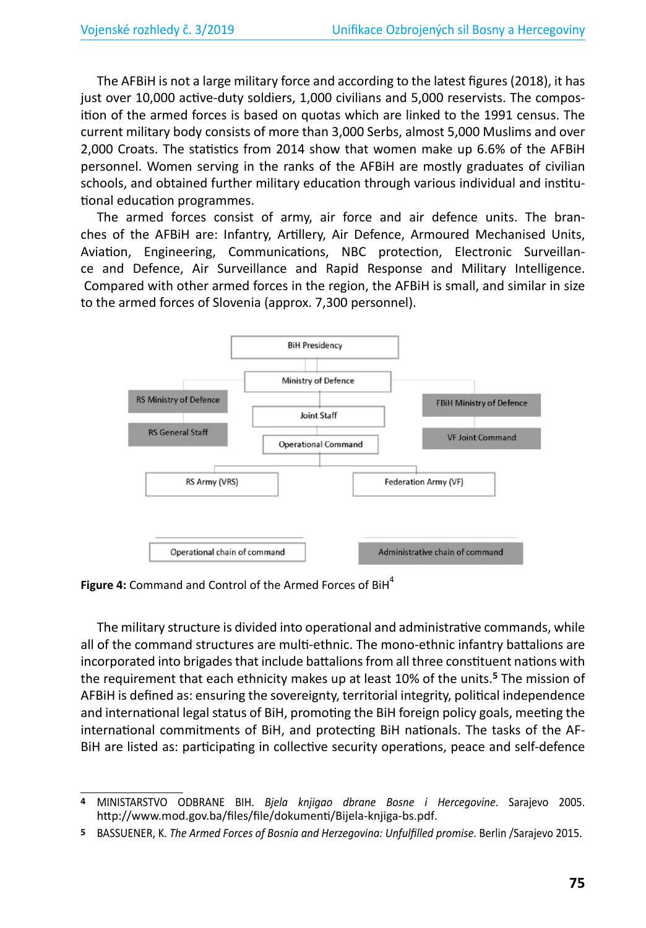The AFBiH is not a large military force and according to the latest figures (2018), it has just over 10,000 active-duty soldiers, 1,000 civilians and 5,000 reservists. The composition of the armed forces is based on quotas which are linked to the 1991 census. The current military body consists of more than 3,000 Serbs, almost 5,000 Muslims and over 2,000 Croats. The statistics from 2014 show that women make up 6.6% of the AFBiH personnel. Women serving in the ranks of the AFBiH are mostly graduates of civilian schools, and obtained further military education through various individual and institutional education programmes.

The armed forces consist of army, air force and air defence units. The branches of the AFBiH are: Infantry, Artillery, Air Defence, Armoured Mechanised Units, Aviation, Engineering, Communications, NBC protection, Electronic Surveillance and Defence, Air Surveillance and Rapid Response and Military Intelligence. Compared with other armed forces in the region, the AFBiH is small, and similar in size to the armed forces of Slovenia (approx. 7,300 personnel).



Figure 4: Command and Control of the Armed Forces of BiH<sup>4</sup>

The military structure is divided into operational and administrative commands, while all of the command structures are multi-ethnic. The mono-ethnic infantry battalions are incorporated into brigades that include battalions from all three constituent nations with the requirement that each ethnicity makes up at least 10% of the units.**<sup>5</sup>** The mission of AFBiH is defined as: ensuring the sovereignty, territorial integrity, political independence and international legal status of BiH, promoting the BiH foreign policy goals, meeting the international commitments of BiH, and protecting BiH nationals. The tasks of the AF-BiH are listed as: participating in collective security operations, peace and self-defence

**<sup>4</sup>** MINISTARSTVO ODBRANE BIH. *Bjela knjigao dbrane Bosne i Hercegovine*. Sarajevo 2005. http://www.mod.gov.ba/files/file/dokumenti/Bijela-knjiga-bs.pdf.

**<sup>5</sup>** BASSUENER, K. *The Armed Forces of Bosnia and Herzegovina: Unfulfilled promise*. Berlin /Sarajevo 2015.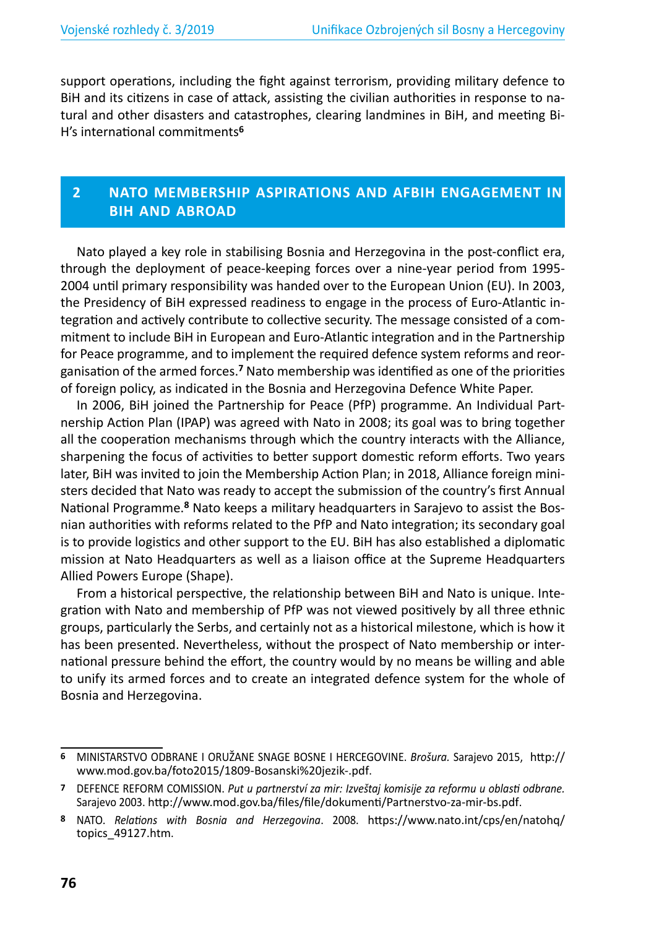support operations, including the fight against terrorism, providing military defence to BiH and its citizens in case of attack, assisting the civilian authorities in response to natural and other disasters and catastrophes, clearing landmines in BiH, and meeting Bi-H's international commitments**<sup>6</sup>**

### **2 NATO MEMBERSHIP ASPIRATIONS AND AFBIH ENGAGEMENT IN BIH AND ABROAD**

Nato played a key role in stabilising Bosnia and Herzegovina in the post-conflict era, through the deployment of peace-keeping forces over a nine-year period from 1995- 2004 until primary responsibility was handed over to the European Union (EU). In 2003, the Presidency of BiH expressed readiness to engage in the process of Euro-Atlantic integration and actively contribute to collective security. The message consisted of a commitment to include BiH in European and Euro-Atlantic integration and in the Partnership for Peace programme, and to implement the required defence system reforms and reorganisation of the armed forces.**<sup>7</sup>** Nato membership was identified as one of the priorities of foreign policy, as indicated in the Bosnia and Herzegovina Defence White Paper.

In 2006, BiH joined the Partnership for Peace (PfP) programme. An Individual Partnership Action Plan (IPAP) was agreed with Nato in 2008; its goal was to bring together all the cooperation mechanisms through which the country interacts with the Alliance, sharpening the focus of activities to better support domestic reform efforts. Two years later, BiH was invited to join the Membership Action Plan; in 2018, Alliance foreign ministers decided that Nato was ready to accept the submission of the country's first Annual National Programme.**<sup>8</sup>** Nato keeps a military headquarters in Sarajevo to assist the Bosnian authorities with reforms related to the PfP and Nato integration; its secondary goal is to provide logistics and other support to the EU. BiH has also established a diplomatic mission at Nato Headquarters as well as a liaison office at the Supreme Headquarters Allied Powers Europe (Shape).

From a historical perspective, the relationship between BiH and Nato is unique. Integration with Nato and membership of PfP was not viewed positively by all three ethnic groups, particularly the Serbs, and certainly not as a historical milestone, which is how it has been presented. Nevertheless, without the prospect of Nato membership or international pressure behind the effort, the country would by no means be willing and able to unify its armed forces and to create an integrated defence system for the whole of Bosnia and Herzegovina.

**<sup>6</sup>** MINISTARSTVO ODBRANE I ORUŽANE SNAGE BOSNE I HERCEGOVINE. *Brošura.* Sarajevo 2015, http:// www.mod.gov.ba/foto2015/1809-Bosanski%20jezik-.pdf.

**<sup>7</sup>** DEFENCE REFORM COMISSION. *Put u partnerství za mir: Izveštaj komisije za reformu u oblasti odbrane.* Sarajevo 2003. http://www.mod.gov.ba/files/file/dokumenti/Partnerstvo-za-mir-bs.pdf.

**<sup>8</sup>** NATO. *Relations with Bosnia and Herzegovina*. 2008. https://www.nato.int/cps/en/natohq/ topics\_49127.htm.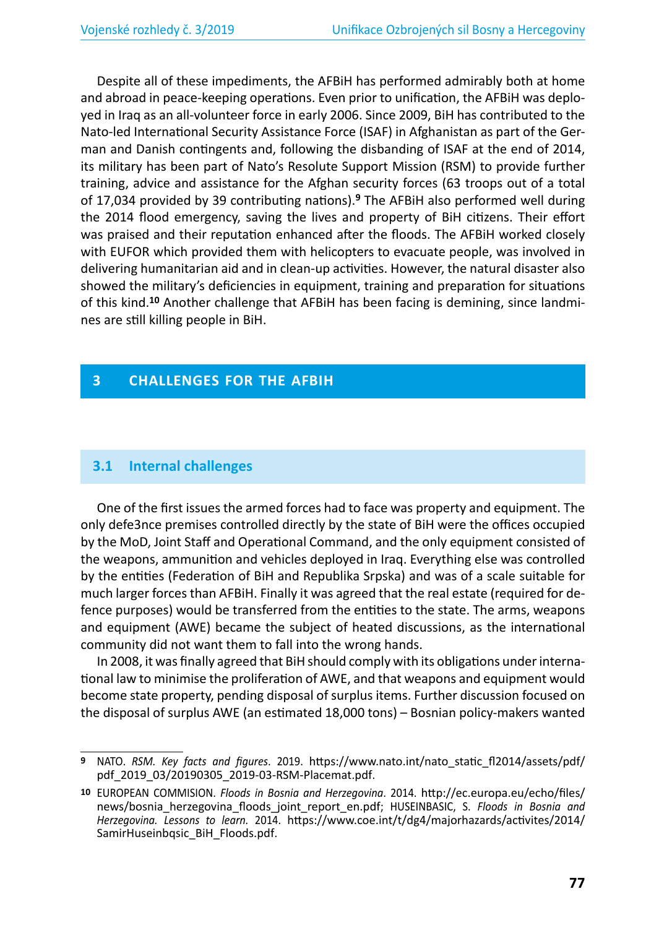Despite all of these impediments, the AFBiH has performed admirably both at home and abroad in peace-keeping operations. Even prior to unification, the AFBiH was deployed in Iraq as an all-volunteer force in early 2006. Since 2009, BiH has contributed to the Nato-led International Security Assistance Force (ISAF) in Afghanistan as part of the German and Danish contingents and, following the disbanding of ISAF at the end of 2014, its military has been part of Nato's Resolute Support Mission (RSM) to provide further training, advice and assistance for the Afghan security forces (63 troops out of a total of 17,034 provided by 39 contributing nations).**<sup>9</sup>** The AFBiH also performed well during the 2014 flood emergency, saving the lives and property of BiH citizens. Their effort was praised and their reputation enhanced after the floods. The AFBiH worked closely with EUFOR which provided them with helicopters to evacuate people, was involved in delivering humanitarian aid and in clean-up activities. However, the natural disaster also showed the military's deficiencies in equipment, training and preparation for situations of this kind.**10** Another challenge that AFBiH has been facing is demining, since landmines are still killing people in BiH.

## **3 CHALLENGES FOR THE AFBIH**

### **3.1 Internal challenges**

One of the first issues the armed forces had to face was property and equipment. The only defe3nce premises controlled directly by the state of BiH were the offices occupied by the MoD, Joint Staff and Operational Command, and the only equipment consisted of the weapons, ammunition and vehicles deployed in Iraq. Everything else was controlled by the entities (Federation of BiH and Republika Srpska) and was of a scale suitable for much larger forces than AFBiH. Finally it was agreed that the real estate (required for defence purposes) would be transferred from the entities to the state. The arms, weapons and equipment (AWE) became the subject of heated discussions, as the international community did not want them to fall into the wrong hands.

In 2008, it was finally agreed that BiH should comply with its obligations under international law to minimise the proliferation of AWE, and that weapons and equipment would become state property, pending disposal of surplus items. Further discussion focused on the disposal of surplus AWE (an estimated 18,000 tons) – Bosnian policy-makers wanted

**<sup>9</sup>** NATO. *RSM. Key facts and figures*. 2019. https://www.nato.int/nato\_static\_fl2014/assets/pdf/ pdf\_2019\_03/20190305\_2019-03-RSM-Placemat.pdf.

**<sup>10</sup>** EUROPEAN COMMISION. *Floods in Bosnia and Herzegovina*. 2014. http://ec.europa.eu/echo/files/ news/bosnia\_herzegovina\_floods\_joint\_report\_en.pdf; HUSEINBASIC, S. *Floods in Bosnia and Herzegovina. Lessons to learn.* 2014. https://www.coe.int/t/dg4/majorhazards/activites/2014/ SamirHuseinbqsic\_BiH\_Floods.pdf.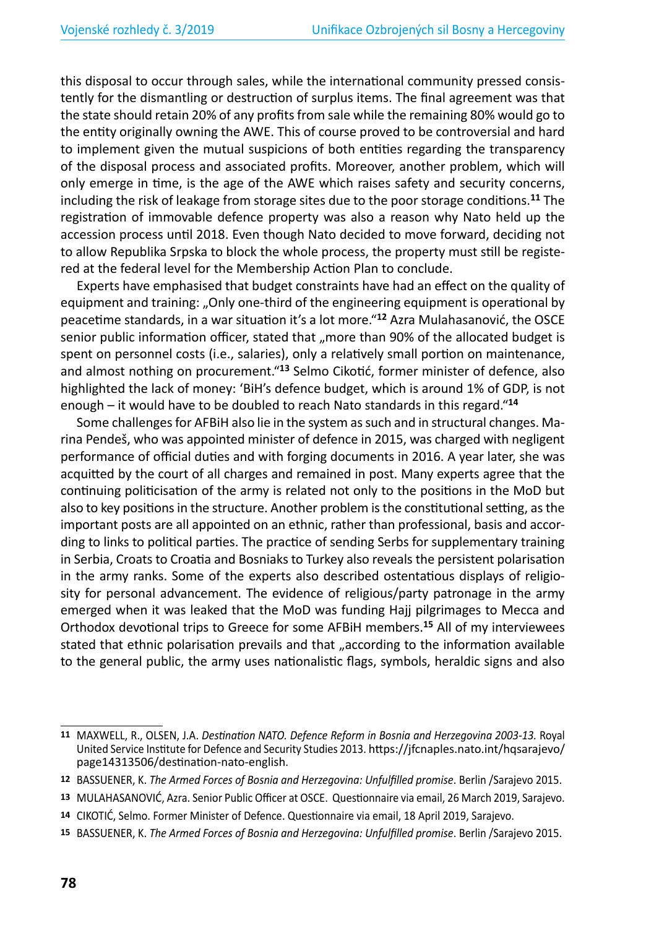this disposal to occur through sales, while the international community pressed consistently for the dismantling or destruction of surplus items. The final agreement was that the state should retain 20% of any profits from sale while the remaining 80% would go to the entity originally owning the AWE. This of course proved to be controversial and hard to implement given the mutual suspicions of both entities regarding the transparency of the disposal process and associated profits. Moreover, another problem, which will only emerge in time, is the age of the AWE which raises safety and security concerns, including the risk of leakage from storage sites due to the poor storage conditions.**<sup>11</sup>** The registration of immovable defence property was also a reason why Nato held up the accession process until 2018. Even though Nato decided to move forward, deciding not to allow Republika Srpska to block the whole process, the property must still be registered at the federal level for the Membership Action Plan to conclude.

Experts have emphasised that budget constraints have had an effect on the quality of equipment and training: "Only one-third of the engineering equipment is operational by peacetime standards, in a war situation it's a lot more."**<sup>12</sup>** Azra Mulahasanović, the OSCE senior public information officer, stated that "more than 90% of the allocated budget is spent on personnel costs (i.e., salaries), only a relatively small portion on maintenance, and almost nothing on procurement."**<sup>13</sup>** Selmo Cikotić, former minister of defence, also highlighted the lack of money: 'BiH's defence budget, which is around 1% of GDP, is not enough – it would have to be doubled to reach Nato standards in this regard."**<sup>14</sup>**

Some challenges for AFBiH also lie in the system as such and in structural changes. Marina Pendeš, who was appointed minister of defence in 2015, was charged with negligent performance of official duties and with forging documents in 2016. A year later, she was acquitted by the court of all charges and remained in post. Many experts agree that the continuing politicisation of the army is related not only to the positions in the MoD but also to key positions in the structure. Another problem is the constitutional setting, as the important posts are all appointed on an ethnic, rather than professional, basis and according to links to political parties. The practice of sending Serbs for supplementary training in Serbia, Croats to Croatia and Bosniaks to Turkey also reveals the persistent polarisation in the army ranks. Some of the experts also described ostentatious displays of religiosity for personal advancement. The evidence of religious/party patronage in the army emerged when it was leaked that the MoD was funding Hajj pilgrimages to Mecca and Orthodox devotional trips to Greece for some AFBiH members.**<sup>15</sup>** All of my interviewees stated that ethnic polarisation prevails and that "according to the information available to the general public, the army uses nationalistic flags, symbols, heraldic signs and also

**15** BASSUENER, K. *The Armed Forces of Bosnia and Herzegovina: Unfulfilled promise*. Berlin /Sarajevo 2015.

**<sup>11</sup>** MAXWELL, R., OLSEN, J.A. *Destination NATO. Defence Reform in Bosnia and Herzegovina 2003-13.* Royal United Service Institute for Defence and Security Studies 2013. https://jfcnaples.nato.int/hqsarajevo/ page14313506/destination-nato-english.

**<sup>12</sup>** BASSUENER, K. *The Armed Forces of Bosnia and Herzegovina: Unfulfilled promise*. Berlin /Sarajevo 2015.

**<sup>13</sup>** MULAHASANOVIĆ, Azra. Senior Public Officer at OSCE. Questionnaire via email, 26 March 2019, Sarajevo.

**<sup>14</sup>** CIKOTIĆ, Selmo. Former Minister of Defence. Questionnaire via email, 18 April 2019, Sarajevo.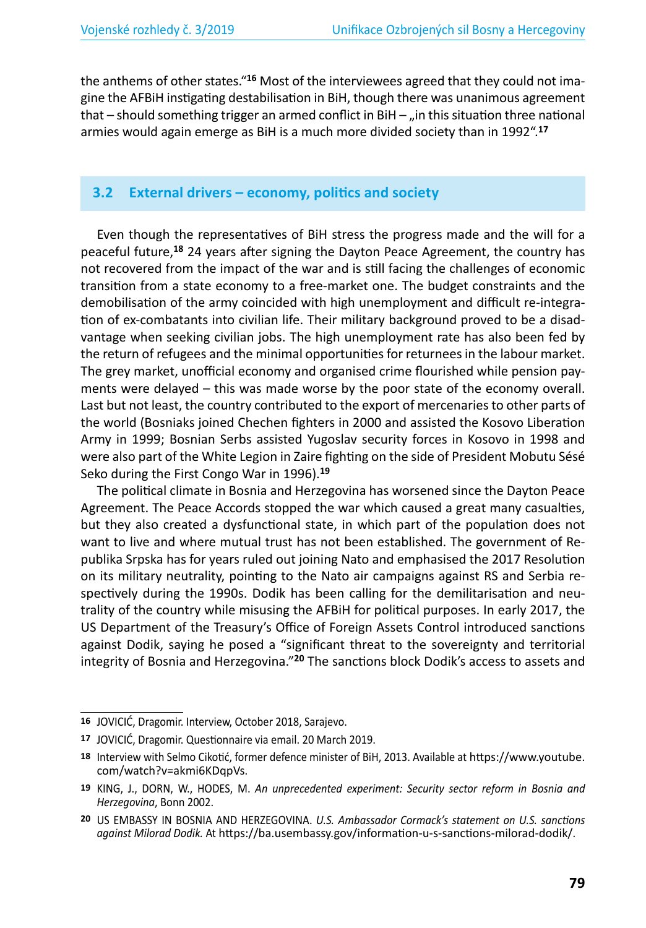the anthems of other states."**16** Most of the interviewees agreed that they could not imagine the AFBiH instigating destabilisation in BiH, though there was unanimous agreement that  $-$  should something trigger an armed conflict in BiH  $-$  "in this situation three national armies would again emerge as BiH is a much more divided society than in 1992".**<sup>17</sup>**

#### **3.2 External drivers – economy, politics and society**

Even though the representatives of BiH stress the progress made and the will for a peaceful future,**<sup>18</sup>** 24 years after signing the Dayton Peace Agreement, the country has not recovered from the impact of the war and is still facing the challenges of economic transition from a state economy to a free-market one. The budget constraints and the demobilisation of the army coincided with high unemployment and difficult re-integration of ex-combatants into civilian life. Their military background proved to be a disadvantage when seeking civilian jobs. The high unemployment rate has also been fed by the return of refugees and the minimal opportunities for returnees in the labour market. The grey market, unofficial economy and organised crime flourished while pension payments were delayed – this was made worse by the poor state of the economy overall. Last but not least, the country contributed to the export of mercenaries to other parts of the world (Bosniaks joined Chechen fighters in 2000 and assisted the Kosovo Liberation Army in 1999; Bosnian Serbs assisted Yugoslav security forces in Kosovo in 1998 and were also part of the White Legion in Zaire fighting on the side of President Mobutu Sésé Seko during the First Congo War in 1996).**<sup>19</sup>**

The political climate in Bosnia and Herzegovina has worsened since the Dayton Peace Agreement. The Peace Accords stopped the war which caused a great many casualties, but they also created a dysfunctional state, in which part of the population does not want to live and where mutual trust has not been established. The government of Republika Srpska has for years ruled out joining Nato and emphasised the 2017 Resolution on its military neutrality, pointing to the Nato air campaigns against RS and Serbia respectively during the 1990s. Dodik has been calling for the demilitarisation and neutrality of the country while misusing the AFBiH for political purposes. In early 2017, the US Department of the Treasury's Office of Foreign Assets Control introduced sanctions against Dodik, saying he posed a "significant threat to the sovereignty and territorial integrity of Bosnia and Herzegovina."**<sup>20</sup>** The sanctions block Dodik's access to assets and

**<sup>16</sup>** JOVICIĆ, Dragomir. Interview, October 2018, Sarajevo.

**<sup>17</sup>** JOVICIĆ, Dragomir. Questionnaire via email. 20 March 2019.

**<sup>18</sup>** Interview with Selmo Cikotić, former defence minister of BiH, 2013. Available at https://www.youtube. com/watch?v=akmi6KDqpVs.

**<sup>19</sup>** KING, J., DORN, W., HODES, M. *An unprecedented experiment: Security sector reform in Bosnia and Herzegovina*, Bonn 2002.

**<sup>20</sup>** US EMBASSY IN BOSNIA AND HERZEGOVINA. *U.S. Ambassador Cormack's statement on U.S. sanctions against Milorad Dodik.* At https://ba.usembassy.gov/information-u-s-sanctions-milorad-dodik/.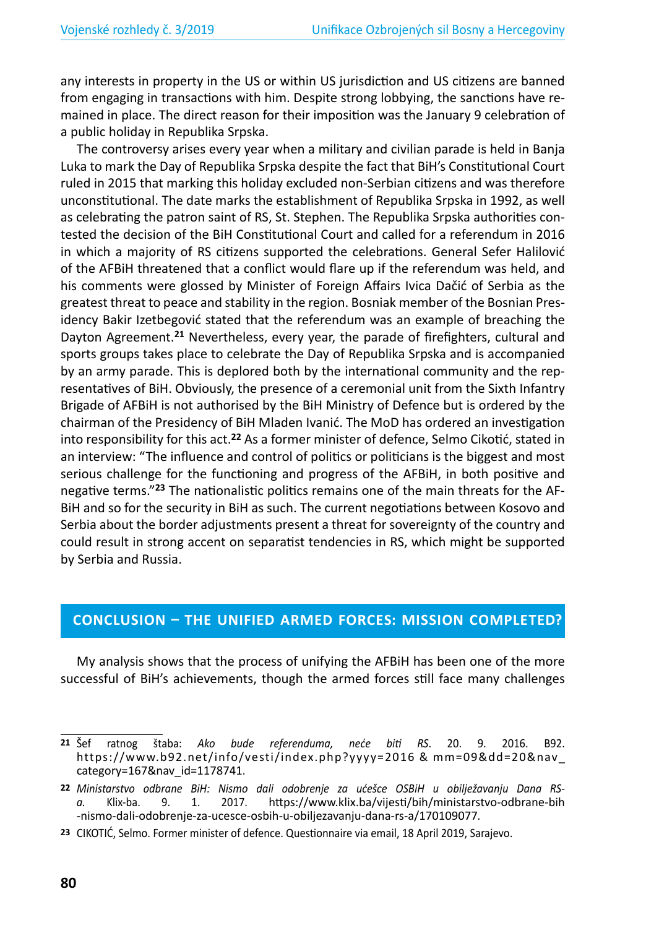any interests in property in the US or within US jurisdiction and US citizens are banned from engaging in transactions with him. Despite strong lobbying, the sanctions have remained in place. The direct reason for their imposition was the January 9 celebration of a public holiday in Republika Srpska.

The controversy arises every year when a military and civilian parade is held in Banja Luka to mark the Day of Republika Srpska despite the fact that BiH's Constitutional Court ruled in 2015 that marking this holiday excluded non-Serbian citizens and was therefore unconstitutional. The date marks the establishment of Republika Srpska in 1992, as well as celebrating the patron saint of RS, St. Stephen. The Republika Srpska authorities contested the decision of the BiH Constitutional Court and called for a referendum in 2016 in which a majority of RS citizens supported the celebrations. General Sefer Halilović of the AFBiH threatened that a conflict would flare up if the referendum was held, and his comments were glossed by Minister of Foreign Affairs Ivica Dačić of Serbia as the greatest threat to peace and stability in the region. Bosniak member of the Bosnian Presidency Bakir Izetbegović stated that the referendum was an example of breaching the Dayton Agreement.**<sup>21</sup>** Nevertheless, every year, the parade of firefighters, cultural and sports groups takes place to celebrate the Day of Republika Srpska and is accompanied by an army parade. This is deplored both by the international community and the representatives of BiH. Obviously, the presence of a ceremonial unit from the Sixth Infantry Brigade of AFBiH is not authorised by the BiH Ministry of Defence but is ordered by the chairman of the Presidency of BiH Mladen Ivanić. The MoD has ordered an investigation into responsibility for this act.**<sup>22</sup>** As a former minister of defence, Selmo Cikotić, stated in an interview: "The influence and control of politics or politicians is the biggest and most serious challenge for the functioning and progress of the AFBiH, in both positive and negative terms."**23** The nationalistic politics remains one of the main threats for the AF-BiH and so for the security in BiH as such. The current negotiations between Kosovo and Serbia about the border adjustments present a threat for sovereignty of the country and could result in strong accent on separatist tendencies in RS, which might be supported by Serbia and Russia.

#### **CONCLUSION – THE UNIFIED ARMED FORCES: MISSION COMPLETED?**

My analysis shows that the process of unifying the AFBiH has been one of the more successful of BiH's achievements, though the armed forces still face many challenges

**23** CIKOTIĆ, Selmo. Former minister of defence. Questionnaire via email, 18 April 2019, Sarajevo.

**<sup>21</sup>** Šef ratnog štaba: *Ako bude referenduma, neće biti RS*. 20. 9. 2016. B92. https://www.b92.net/info/vesti/index.php?yyyy=2016 & mm=09&dd=20&nav\_ category=167&nav\_id=1178741.

**<sup>22</sup>** *Ministarstvo odbrane BiH: Nismo dali odobrenje za ućešce OSBiH u obilježavanju Dana RSa.* Klix-ba. 9. 1. 2017. https://www.klix.ba/vijesti/bih/ministarstvo-odbrane-bih -nismo-dali-odobrenje-za-ucesce-osbih-u-obiljezavanju-dana-rs-a/170109077.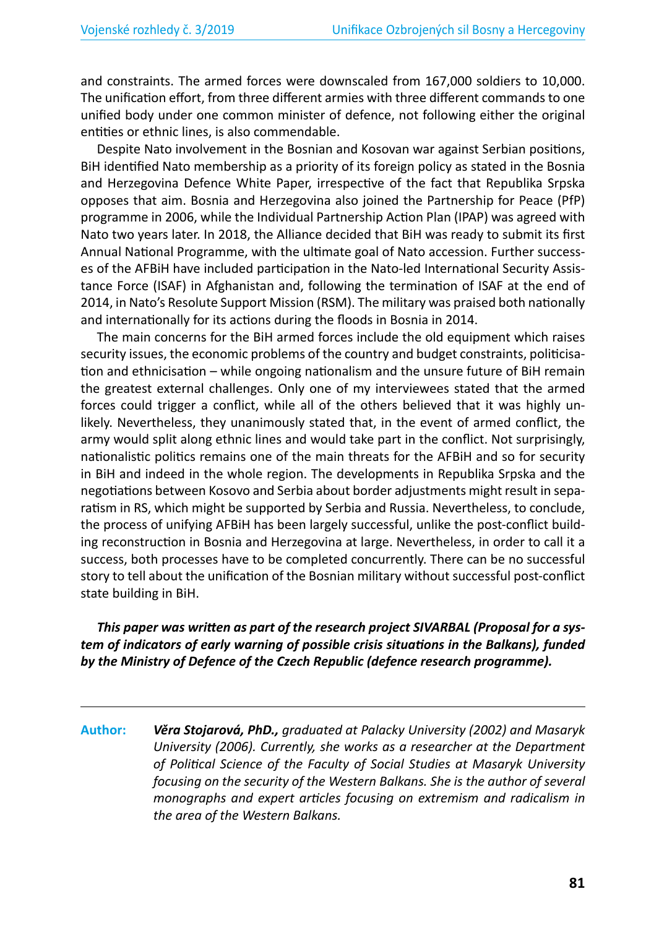and constraints. The armed forces were downscaled from 167,000 soldiers to 10,000. The unification effort, from three different armies with three different commands to one unified body under one common minister of defence, not following either the original entities or ethnic lines, is also commendable.

Despite Nato involvement in the Bosnian and Kosovan war against Serbian positions, BiH identified Nato membership as a priority of its foreign policy as stated in the Bosnia and Herzegovina Defence White Paper, irrespective of the fact that Republika Srpska opposes that aim. Bosnia and Herzegovina also joined the Partnership for Peace (PfP) programme in 2006, while the Individual Partnership Action Plan (IPAP) was agreed with Nato two years later. In 2018, the Alliance decided that BiH was ready to submit its first Annual National Programme, with the ultimate goal of Nato accession. Further successes of the AFBiH have included participation in the Nato-led International Security Assistance Force (ISAF) in Afghanistan and, following the termination of ISAF at the end of 2014, in Nato's Resolute Support Mission (RSM). The military was praised both nationally and internationally for its actions during the floods in Bosnia in 2014.

The main concerns for the BiH armed forces include the old equipment which raises security issues, the economic problems of the country and budget constraints, politicisation and ethnicisation – while ongoing nationalism and the unsure future of BiH remain the greatest external challenges. Only one of my interviewees stated that the armed forces could trigger a conflict, while all of the others believed that it was highly unlikely. Nevertheless, they unanimously stated that, in the event of armed conflict, the army would split along ethnic lines and would take part in the conflict. Not surprisingly, nationalistic politics remains one of the main threats for the AFBiH and so for security in BiH and indeed in the whole region. The developments in Republika Srpska and the negotiations between Kosovo and Serbia about border adjustments might result in separatism in RS, which might be supported by Serbia and Russia. Nevertheless, to conclude, the process of unifying AFBiH has been largely successful, unlike the post-conflict building reconstruction in Bosnia and Herzegovina at large. Nevertheless, in order to call it a success, both processes have to be completed concurrently. There can be no successful story to tell about the unification of the Bosnian military without successful post-conflict state building in BiH.

#### *This paper was written as part of the research project SIVARBAL (Proposal for a system of indicators of early warning of possible crisis situations in the Balkans), funded by the Ministry of Defence of the Czech Republic (defence research programme).*

**Author:** *Věra Stojarová, PhD., graduated at Palacky University (2002) and Masaryk University (2006). Currently, she works as a researcher at the Department of Political Science of the Faculty of Social Studies at Masaryk University focusing on the security of the Western Balkans. She is the author of several monographs and expert articles focusing on extremism and radicalism in the area of the Western Balkans.*